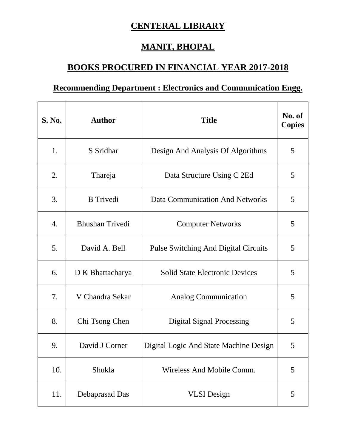## **CENTERAL LIBRARY**

## **MANIT, BHOPAL**

## **BOOKS PROCURED IN FINANCIAL YEAR 2017-2018**

## **Recommending Department : Electronics and Communication Engg.**

| <b>S. No.</b>    | <b>Author</b>          | <b>Title</b>                                | No. of<br><b>Copies</b> |
|------------------|------------------------|---------------------------------------------|-------------------------|
| 1.               | S Sridhar              | Design And Analysis Of Algorithms           | 5                       |
| 2.               | Thareja                | Data Structure Using C 2Ed                  | 5                       |
| 3.               | <b>B</b> Trivedi       | <b>Data Communication And Networks</b>      | 5                       |
| $\overline{4}$ . | <b>Bhushan Trivedi</b> | <b>Computer Networks</b>                    | 5                       |
| 5.               | David A. Bell          | <b>Pulse Switching And Digital Circuits</b> | 5                       |
| 6.               | D K Bhattacharya       | <b>Solid State Electronic Devices</b>       | 5                       |
| 7.               | V Chandra Sekar        | <b>Analog Communication</b>                 | 5                       |
| 8.               | Chi Tsong Chen         | <b>Digital Signal Processing</b>            | 5                       |
| 9.               | David J Corner         | Digital Logic And State Machine Design      | 5                       |
| 10.              | Shukla                 | Wireless And Mobile Comm.                   | 5                       |
| 11.              | Debaprasad Das         | <b>VLSI</b> Design                          | 5                       |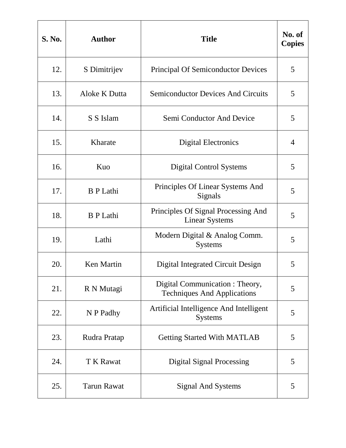| <b>S. No.</b> | <b>Author</b>      | <b>Title</b>                                                          | No. of<br><b>Copies</b> |
|---------------|--------------------|-----------------------------------------------------------------------|-------------------------|
| 12.           | S Dimitrijev       | <b>Principal Of Semiconductor Devices</b>                             | 5                       |
| 13.           | Aloke K Dutta      | <b>Semiconductor Devices And Circuits</b>                             | 5                       |
| 14.           | S S Islam          | Semi Conductor And Device                                             | 5                       |
| 15.           | Kharate            | <b>Digital Electronics</b>                                            | 4                       |
| 16.           | Kuo                | <b>Digital Control Systems</b>                                        | 5                       |
| 17.           | <b>B</b> P Lathi   | Principles Of Linear Systems And<br>Signals                           | 5                       |
| 18.           | <b>B</b> P Lathi   | Principles Of Signal Processing And<br><b>Linear Systems</b>          | 5                       |
| 19.           | Lathi              | Modern Digital & Analog Comm.<br><b>Systems</b>                       | 5                       |
| 20.           | <b>Ken Martin</b>  | Digital Integrated Circuit Design                                     | 5                       |
| 21.           | R N Mutagi         | Digital Communication : Theory,<br><b>Techniques And Applications</b> | 5                       |
| 22.           | N P Padhy          | Artificial Intelligence And Intelligent<br><b>Systems</b>             | 5                       |
| 23.           | Rudra Pratap       | <b>Getting Started With MATLAB</b>                                    | 5                       |
| 24.           | <b>T K Rawat</b>   | <b>Digital Signal Processing</b>                                      | 5                       |
| 25.           | <b>Tarun Rawat</b> | <b>Signal And Systems</b>                                             | 5                       |